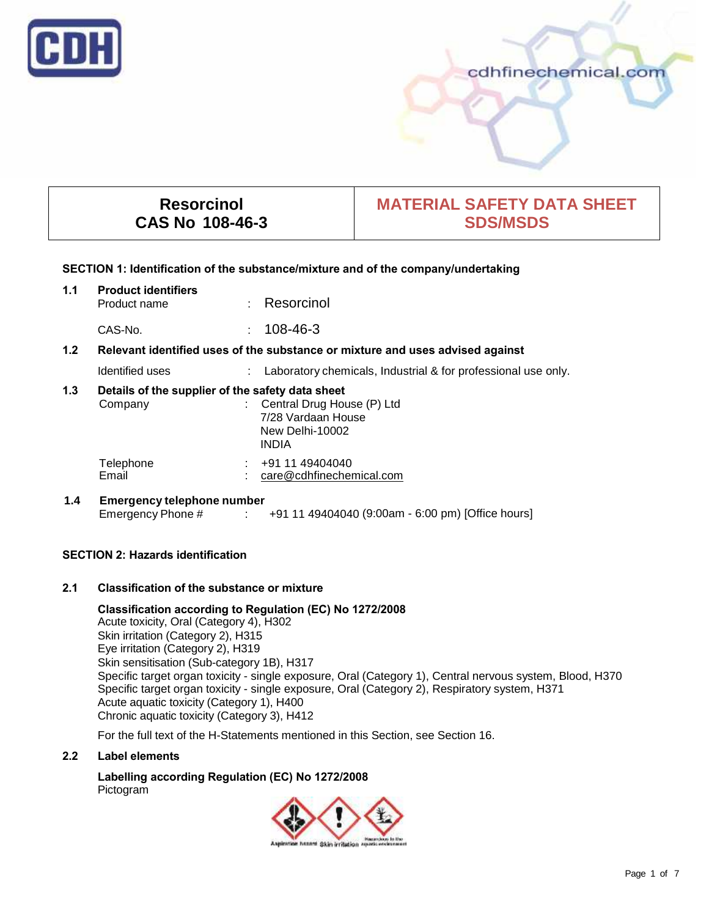

## cdhfinechemical.com

# **Resorcinol CAS No 108-46-3**

# **MATERIAL SAFETY DATA SHEET SDS/MSDS**

#### **SECTION 1: Identification of the substance/mixture and of the company/undertaking**

## **1.1 Product identifiers** · Resorcinol

CAS-No. : 108-46-3

## **1.2 Relevant identified uses of the substance or mixture and uses advised against**

| Identified uses |  | Laboratory chemicals. Industrial & for professional use only. |
|-----------------|--|---------------------------------------------------------------|
|-----------------|--|---------------------------------------------------------------|

## **1.3 Details of the supplier of the safety data sheet**

| Company            | : Central Drug House (P) Ltd<br>7/28 Vardaan House<br>New Delhi-10002<br><b>INDIA</b> |  |
|--------------------|---------------------------------------------------------------------------------------|--|
| Telephone<br>Email | +91 11 49404040<br>care@cdhfinechemical.com                                           |  |

## **1.4 Emergency telephone number** Emergency Phone # : +91 11 49404040 (9:00am - 6:00 pm) [Office hours]

## **SECTION 2: Hazards identification**

## **2.1 Classification of the substance or mixture**

**Classification according to Regulation (EC) No 1272/2008** Acute toxicity, Oral (Category 4), H302 Skin irritation (Category 2), H315 Eye irritation (Category 2), H319 Skin sensitisation (Sub-category 1B), H317 Specific target organ toxicity - single exposure, Oral (Category 1), Central nervous system, Blood, H370 Specific target organ toxicity - single exposure, Oral (Category 2), Respiratory system, H371 Acute aquatic toxicity (Category 1), H400 Chronic aquatic toxicity (Category 3), H412

For the full text of the H-Statements mentioned in this Section, see Section 16.

#### **2.2 Label elements**

**Labelling according Regulation (EC) No 1272/2008** Pictogram

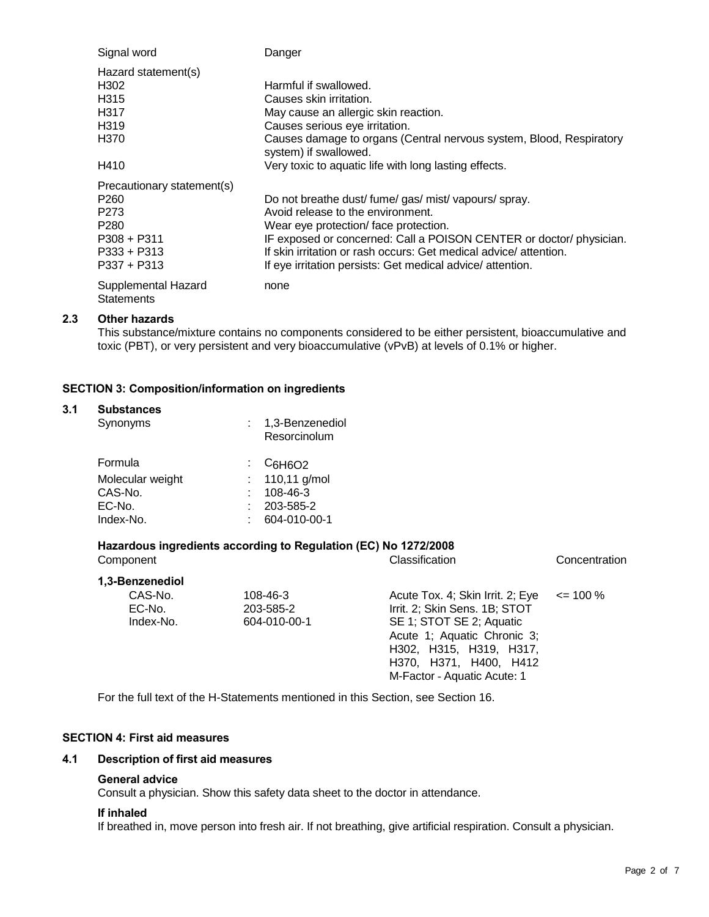| Signal word                              | Danger                                                                                       |
|------------------------------------------|----------------------------------------------------------------------------------------------|
| Hazard statement(s)                      |                                                                                              |
| H302                                     | Harmful if swallowed.                                                                        |
| H <sub>315</sub>                         | Causes skin irritation.                                                                      |
| H <sub>317</sub>                         | May cause an allergic skin reaction.                                                         |
| H <sub>319</sub>                         | Causes serious eye irritation.                                                               |
| H370                                     | Causes damage to organs (Central nervous system, Blood, Respiratory<br>system) if swallowed. |
| H410                                     | Very toxic to aquatic life with long lasting effects.                                        |
| Precautionary statement(s)               |                                                                                              |
| P <sub>260</sub>                         | Do not breathe dust/fume/gas/mist/vapours/spray.                                             |
| P <sub>273</sub>                         | Avoid release to the environment.                                                            |
| P <sub>280</sub>                         | Wear eye protection/ face protection.                                                        |
| $P308 + P311$                            | IF exposed or concerned: Call a POISON CENTER or doctor/ physician.                          |
| $P333 + P313$                            | If skin irritation or rash occurs: Get medical advice/attention.                             |
| $P337 + P313$                            | If eye irritation persists: Get medical advice/attention.                                    |
| Supplemental Hazard<br><b>Statements</b> | none                                                                                         |

## **2.3 Other hazards**

This substance/mixture contains no components considered to be either persistent, bioaccumulative and toxic (PBT), or very persistent and very bioaccumulative (vPvB) at levels of 0.1% or higher.

## **SECTION 3: Composition/information on ingredients**

#### **3.1 Substances**

| Synonyms         | 1,3-Benzenediol<br>Resorcinolum  |  |
|------------------|----------------------------------|--|
| Formula          | $\frac{1}{2}$ C <sub>6H6O2</sub> |  |
| Molecular weight | : $110,11$ g/mol                 |  |
| CAS-No.          | 108-46-3                         |  |
| EC-No.           | 203-585-2                        |  |
| Index-No.        | 604-010-00-1                     |  |

## **Hazardous ingredients according to Regulation (EC) No 1272/2008**

| Component                                         |                                       | Classification                                                                                                                                                                                                   | Concentration |
|---------------------------------------------------|---------------------------------------|------------------------------------------------------------------------------------------------------------------------------------------------------------------------------------------------------------------|---------------|
| 1,3-Benzenediol<br>CAS-No.<br>EC-No.<br>Index-No. | 108-46-3<br>203-585-2<br>604-010-00-1 | Acute Tox. 4; Skin Irrit. 2; Eye<br>Irrit. 2; Skin Sens. 1B; STOT<br>SE 1; STOT SE 2; Aquatic<br>Acute 1; Aquatic Chronic 3;<br>H302, H315, H319, H317,<br>H370, H371, H400, H412<br>M-Factor - Aquatic Acute: 1 | $\leq$ 100 %  |

For the full text of the H-Statements mentioned in this Section, see Section 16.

## **SECTION 4: First aid measures**

## **4.1 Description of first aid measures**

#### **General advice**

Consult a physician. Show this safety data sheet to the doctor in attendance.

#### **If inhaled**

If breathed in, move person into fresh air. If not breathing, give artificial respiration. Consult a physician.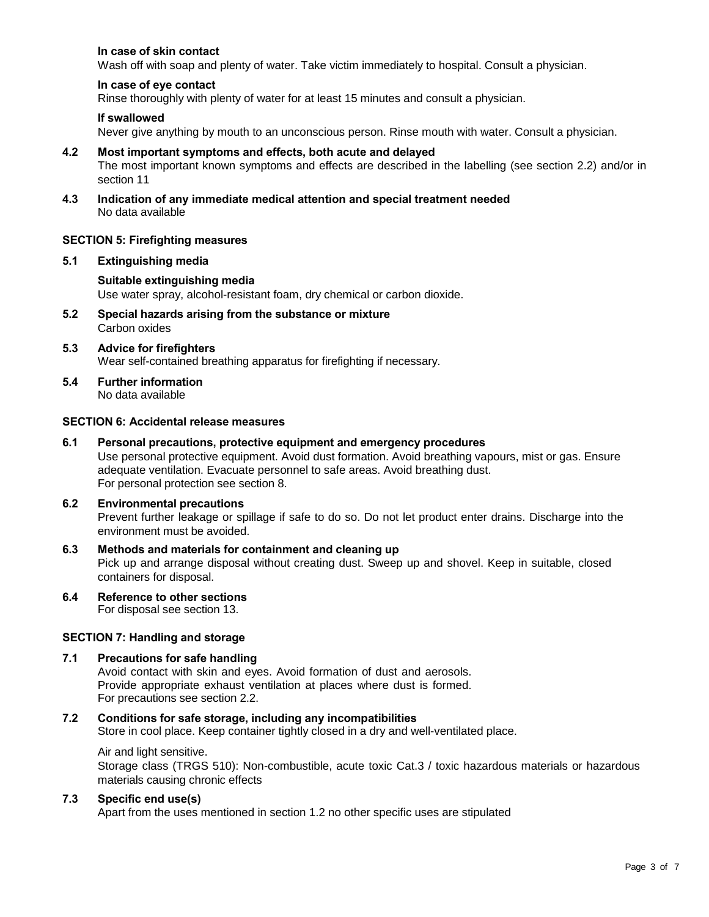## **In case of skin contact**

Wash off with soap and plenty of water. Take victim immediately to hospital. Consult a physician.

#### **In case of eye contact**

Rinse thoroughly with plenty of water for at least 15 minutes and consult a physician.

#### **If swallowed**

Never give anything by mouth to an unconscious person. Rinse mouth with water. Consult a physician.

#### **4.2 Most important symptoms and effects, both acute and delayed**

The most important known symptoms and effects are described in the labelling (see section 2.2) and/or in section 11

**4.3 Indication of any immediate medical attention and special treatment needed** No data available

#### **SECTION 5: Firefighting measures**

#### **5.1 Extinguishing media**

#### **Suitable extinguishing media**

Use water spray, alcohol-resistant foam, dry chemical or carbon dioxide.

**5.2 Special hazards arising from the substance or mixture** Carbon oxides

#### **5.3 Advice for firefighters** Wear self-contained breathing apparatus for firefighting if necessary.

**5.4 Further information** No data available

#### **SECTION 6: Accidental release measures**

#### **6.1 Personal precautions, protective equipment and emergency procedures**

Use personal protective equipment. Avoid dust formation. Avoid breathing vapours, mist or gas. Ensure adequate ventilation. Evacuate personnel to safe areas. Avoid breathing dust. For personal protection see section 8.

## **6.2 Environmental precautions**

Prevent further leakage or spillage if safe to do so. Do not let product enter drains. Discharge into the environment must be avoided.

# **6.3 Methods and materials for containment and cleaning up**

Pick up and arrange disposal without creating dust. Sweep up and shovel. Keep in suitable, closed containers for disposal.

**6.4 Reference to other sections**

For disposal see section 13.

## **SECTION 7: Handling and storage**

#### **7.1 Precautions for safe handling**

Avoid contact with skin and eyes. Avoid formation of dust and aerosols. Provide appropriate exhaust ventilation at places where dust is formed. For precautions see section 2.2.

#### **7.2 Conditions for safe storage, including any incompatibilities**

Store in cool place. Keep container tightly closed in a dry and well-ventilated place.

#### Air and light sensitive.

Storage class (TRGS 510): Non-combustible, acute toxic Cat.3 / toxic hazardous materials or hazardous materials causing chronic effects

#### **7.3 Specific end use(s)**

Apart from the uses mentioned in section 1.2 no other specific uses are stipulated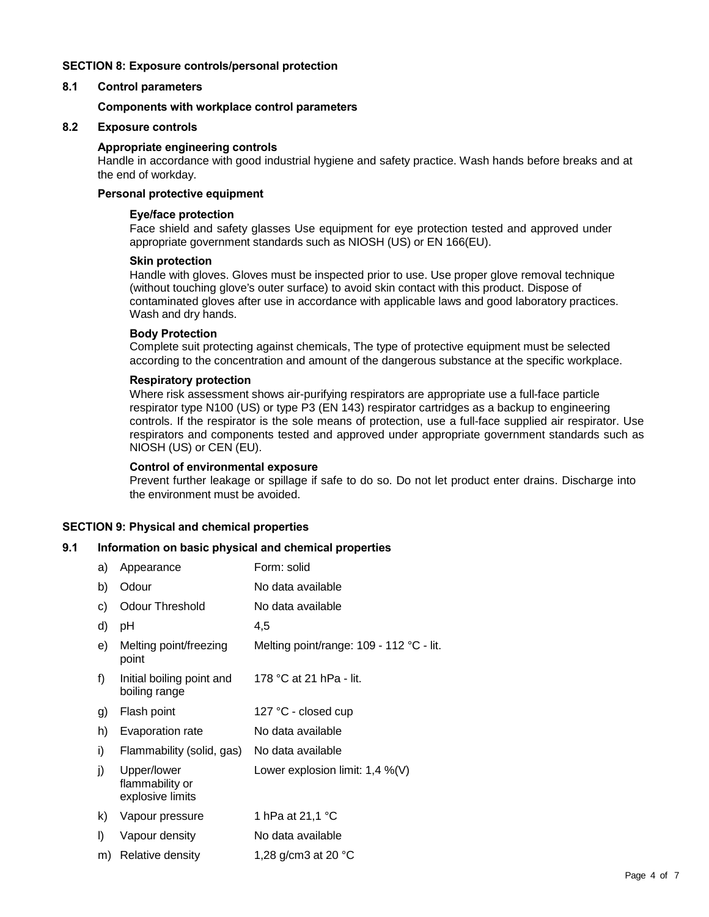## **SECTION 8: Exposure controls/personal protection**

#### **8.1 Control parameters**

#### **Components with workplace control parameters**

## **8.2 Exposure controls**

#### **Appropriate engineering controls**

Handle in accordance with good industrial hygiene and safety practice. Wash hands before breaks and at the end of workday.

#### **Personal protective equipment**

#### **Eye/face protection**

Face shield and safety glasses Use equipment for eye protection tested and approved under appropriate government standards such as NIOSH (US) or EN 166(EU).

#### **Skin protection**

Handle with gloves. Gloves must be inspected prior to use. Use proper glove removal technique (without touching glove's outer surface) to avoid skin contact with this product. Dispose of contaminated gloves after use in accordance with applicable laws and good laboratory practices. Wash and dry hands.

## **Body Protection**

Complete suit protecting against chemicals, The type of protective equipment must be selected according to the concentration and amount of the dangerous substance at the specific workplace.

#### **Respiratory protection**

Where risk assessment shows air-purifying respirators are appropriate use a full-face particle respirator type N100 (US) or type P3 (EN 143) respirator cartridges as a backup to engineering controls. If the respirator is the sole means of protection, use a full-face supplied air respirator. Use respirators and components tested and approved under appropriate government standards such as NIOSH (US) or CEN (EU).

#### **Control of environmental exposure**

Prevent further leakage or spillage if safe to do so. Do not let product enter drains. Discharge into the environment must be avoided.

### **SECTION 9: Physical and chemical properties**

#### **9.1 Information on basic physical and chemical properties**

| a) | Appearance                                         | Form: solid                              |
|----|----------------------------------------------------|------------------------------------------|
| b) | Odour                                              | No data available                        |
| C) | Odour Threshold                                    | No data available                        |
| d) | рH                                                 | 4,5                                      |
| e) | Melting point/freezing<br>point                    | Melting point/range: 109 - 112 °C - lit. |
| f) | Initial boiling point and<br>boiling range         | 178 °C at 21 hPa - lit.                  |
| g) | Flash point                                        | 127 °C - closed cup                      |
| h) | Evaporation rate                                   | No data available                        |
| i) | Flammability (solid, gas)                          | No data available                        |
| j) | Upper/lower<br>flammability or<br>explosive limits | Lower explosion limit: $1,4\%$ (V)       |
| k) | Vapour pressure                                    | 1 hPa at 21,1 °C                         |
| I) | Vapour density                                     | No data available                        |
| m) | Relative density                                   | 1,28 g/cm3 at 20 °C                      |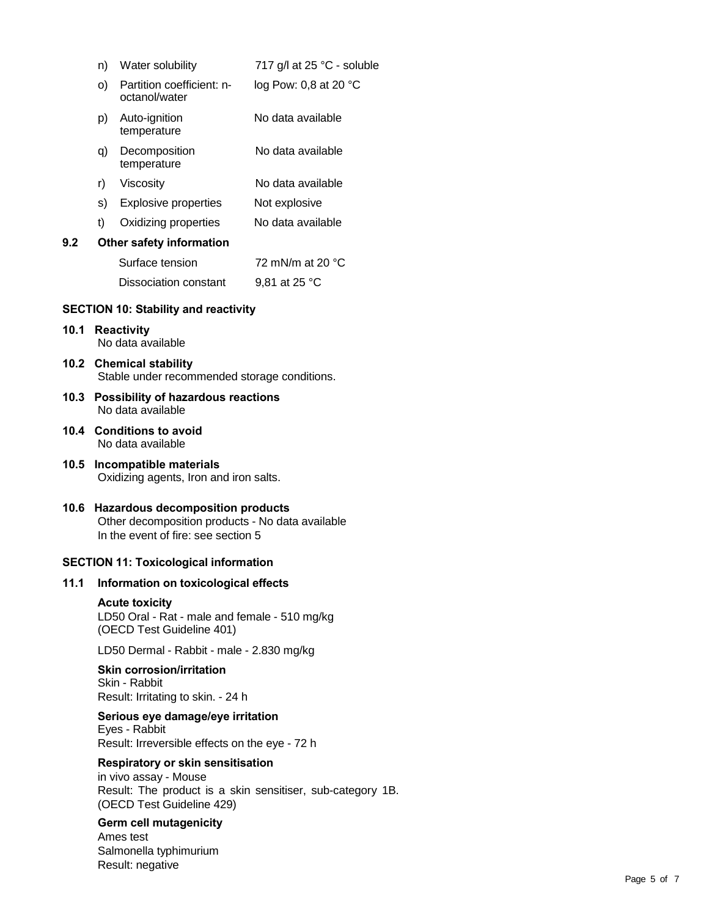|     | n) | Water solubility                           | 717 g/l at 25 °C - soluble |
|-----|----|--------------------------------------------|----------------------------|
|     | O) | Partition coefficient: n-<br>octanol/water | log Pow: 0,8 at 20 $°C$    |
|     | p) | Auto-ignition<br>temperature               | No data available          |
|     | q) | Decomposition<br>temperature               | No data available          |
|     | r) | Viscosity                                  | No data available          |
|     | S) | <b>Explosive properties</b>                | Not explosive              |
|     | t) | Oxidizing properties                       | No data available          |
| 9.2 |    | Other safety information                   |                            |
|     |    | Surface tension                            | 72 mN/m at 20 $\degree$ C  |
|     |    | Dissociation constant                      | 9,81 at 25 °C              |
|     |    | SECTION 10: Stability and reactivity       |                            |

## **SECTION 10: Stability and reactivity**

#### **10.1 Reactivity** No data available

- **10.2 Chemical stability** Stable under recommended storage conditions.
- **10.3 Possibility of hazardous reactions** No data available
- **10.4 Conditions to avoid** No data available
- **10.5 Incompatible materials** Oxidizing agents, Iron and iron salts.
- **10.6 Hazardous decomposition products** Other decomposition products - No data available In the event of fire: see section 5

#### **SECTION 11: Toxicological information**

#### **11.1 Information on toxicological effects**

#### **Acute toxicity**

LD50 Oral - Rat - male and female - 510 mg/kg (OECD Test Guideline 401)

LD50 Dermal - Rabbit - male - 2.830 mg/kg

#### **Skin corrosion/irritation** Skin - Rabbit

Result: Irritating to skin. - 24 h

#### **Serious eye damage/eye irritation**

Eyes - Rabbit Result: Irreversible effects on the eye - 72 h

## **Respiratory or skin sensitisation**

in vivo assay - Mouse Result: The product is a skin sensitiser, sub-category 1B. (OECD Test Guideline 429)

#### **Germ cell mutagenicity**

Ames test Salmonella typhimurium Result: negative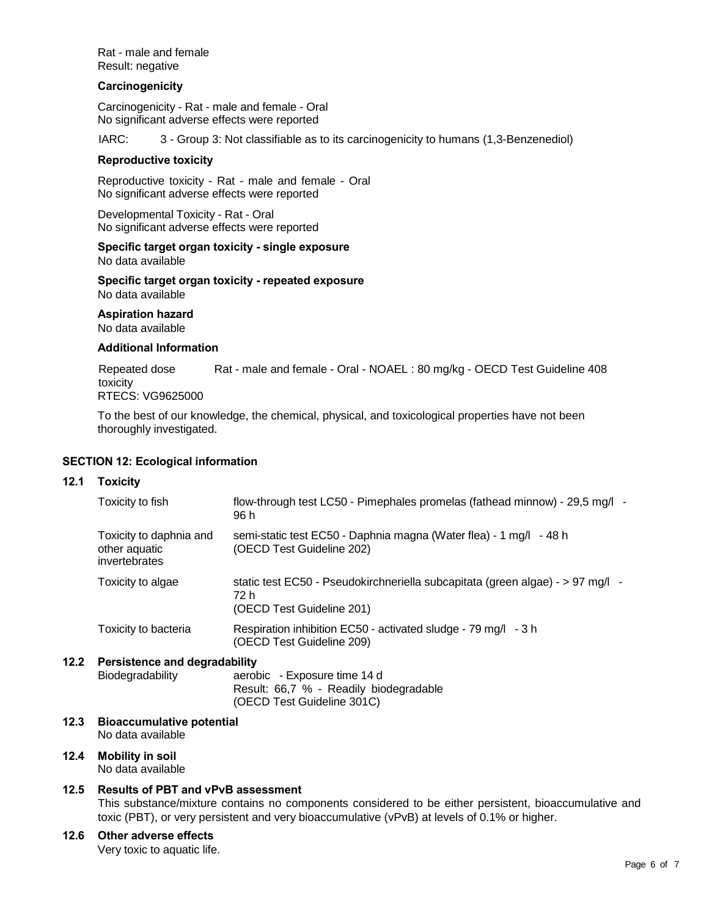Rat - male and female Result: negative

#### **Carcinogenicity**

Carcinogenicity - Rat - male and female - Oral No significant adverse effects were reported

IARC: 3 - Group 3: Not classifiable as to its carcinogenicity to humans (1,3-Benzenediol)

#### **Reproductive toxicity**

Reproductive toxicity - Rat - male and female - Oral No significant adverse effects were reported

Developmental Toxicity - Rat - Oral No significant adverse effects were reported

#### **Specific target organ toxicity - single exposure** No data available

**Specific target organ toxicity - repeated exposure** No data available

#### **Aspiration hazard**

No data available

#### **Additional Information**

Repeated dose Rat - male and female - Oral - NOAEL : 80 mg/kg - OECD Test Guideline 408 toxicity RTECS: VG9625000

To the best of our knowledge, the chemical, physical, and toxicological properties have not been thoroughly investigated.

#### **SECTION 12: Ecological information**

#### **12.1 Toxicity**

| Toxicity to fish                                          | flow-through test LC50 - Pimephales promelas (fathead minnow) - 29,5 mg/l -<br>96 h                                 |
|-----------------------------------------------------------|---------------------------------------------------------------------------------------------------------------------|
| Toxicity to daphnia and<br>other aquatic<br>invertebrates | semi-static test EC50 - Daphnia magna (Water flea) - 1 mg/l - 48 h<br>(OECD Test Guideline 202)                     |
| Toxicity to algae                                         | static test EC50 - Pseudokirchneriella subcapitata (green algae) - > 97 mg/l -<br>72 h<br>(OECD Test Guideline 201) |
| Toxicity to bacteria                                      | Respiration inhibition EC50 - activated sludge - 79 mg/l - 3 h<br>(OECD Test Guideline 209)                         |

#### **12.2 Persistence and degradability**

Biodegradability aerobic - Exposure time 14 d Result: 66,7 % - Readily biodegradable (OECD Test Guideline 301C)

#### **12.3 Bioaccumulative potential** No data available

# **12.4 Mobility in soil**

No data available

## **12.5 Results of PBT and vPvB assessment**

This substance/mixture contains no components considered to be either persistent, bioaccumulative and toxic (PBT), or very persistent and very bioaccumulative (vPvB) at levels of 0.1% or higher.

## **12.6 Other adverse effects**

Very toxic to aquatic life.